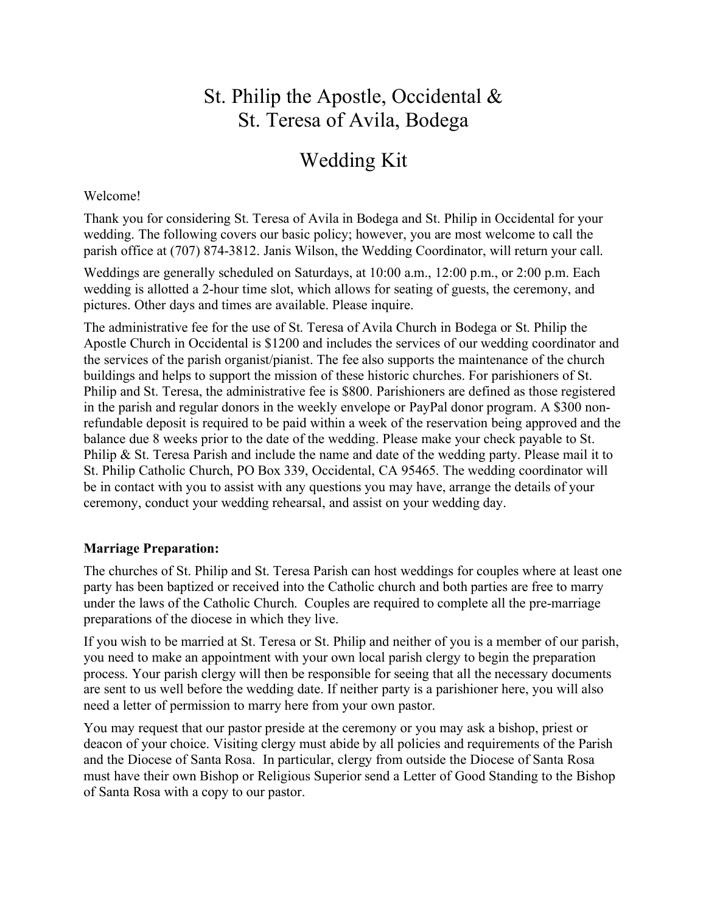# St. Philip the Apostle, Occidental & St. Teresa of Avila, Bodega

# Wedding Kit

#### Welcome!

Thank you for considering St. Teresa of Avila in Bodega and St. Philip in Occidental for your wedding. The following covers our basic policy; however, you are most welcome to call the parish office at (707) 874-3812. Janis Wilson, the Wedding Coordinator, will return your call.

Weddings are generally scheduled on Saturdays, at 10:00 a.m., 12:00 p.m., or 2:00 p.m. Each wedding is allotted a 2-hour time slot, which allows for seating of guests, the ceremony, and pictures. Other days and times are available. Please inquire.

The administrative fee for the use of St. Teresa of Avila Church in Bodega or St. Philip the Apostle Church in Occidental is \$1200 and includes the services of our wedding coordinator and the services of the parish organist/pianist. The fee also supports the maintenance of the church buildings and helps to support the mission of these historic churches. For parishioners of St. Philip and St. Teresa, the administrative fee is \$800. Parishioners are defined as those registered in the parish and regular donors in the weekly envelope or PayPal donor program. A \$300 nonrefundable deposit is required to be paid within a week of the reservation being approved and the balance due 8 weeks prior to the date of the wedding. Please make your check payable to St. Philip & St. Teresa Parish and include the name and date of the wedding party. Please mail it to St. Philip Catholic Church, PO Box 339, Occidental, CA 95465. The wedding coordinator will be in contact with you to assist with any questions you may have, arrange the details of your ceremony, conduct your wedding rehearsal, and assist on your wedding day.

### **Marriage Preparation:**

The churches of St. Philip and St. Teresa Parish can host weddings for couples where at least one party has been baptized or received into the Catholic church and both parties are free to marry under the laws of the Catholic Church. Couples are required to complete all the pre-marriage preparations of the diocese in which they live.

If you wish to be married at St. Teresa or St. Philip and neither of you is a member of our parish, you need to make an appointment with your own local parish clergy to begin the preparation process. Your parish clergy will then be responsible for seeing that all the necessary documents are sent to us well before the wedding date. If neither party is a parishioner here, you will also need a letter of permission to marry here from your own pastor.

You may request that our pastor preside at the ceremony or you may ask a bishop, priest or deacon of your choice. Visiting clergy must abide by all policies and requirements of the Parish and the Diocese of Santa Rosa. In particular, clergy from outside the Diocese of Santa Rosa must have their own Bishop or Religious Superior send a Letter of Good Standing to the Bishop of Santa Rosa with a copy to our pastor.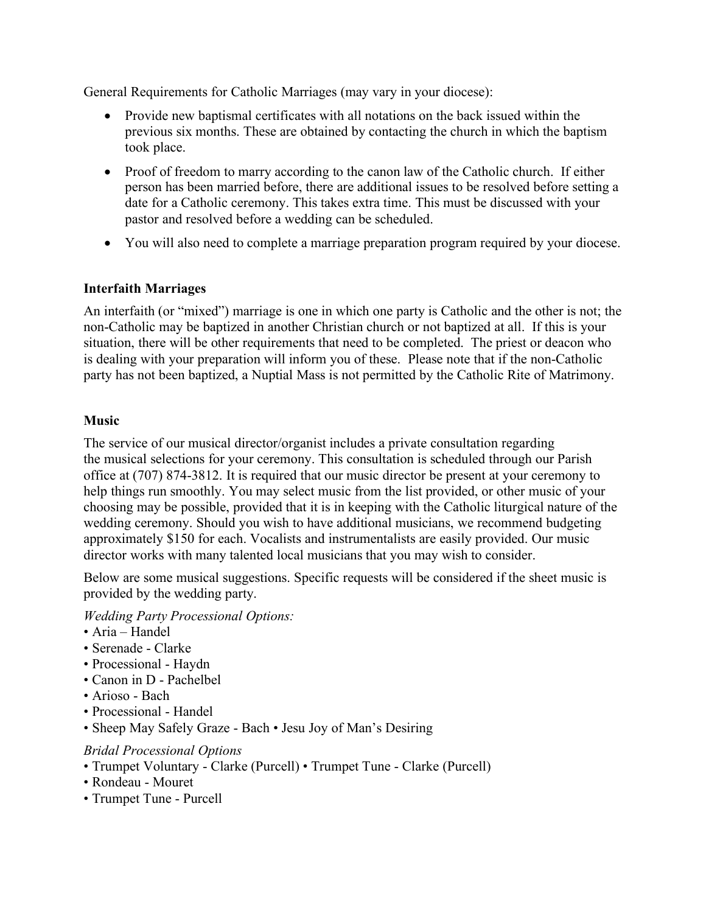General Requirements for Catholic Marriages (may vary in your diocese):

- Provide new baptismal certificates with all notations on the back issued within the previous six months. These are obtained by contacting the church in which the baptism took place.
- Proof of freedom to marry according to the canon law of the Catholic church. If either person has been married before, there are additional issues to be resolved before setting a date for a Catholic ceremony. This takes extra time. This must be discussed with your pastor and resolved before a wedding can be scheduled.
- You will also need to complete a marriage preparation program required by your diocese.

# **Interfaith Marriages**

An interfaith (or "mixed") marriage is one in which one party is Catholic and the other is not; the non-Catholic may be baptized in another Christian church or not baptized at all. If this is your situation, there will be other requirements that need to be completed. The priest or deacon who is dealing with your preparation will inform you of these. Please note that if the non-Catholic party has not been baptized, a Nuptial Mass is not permitted by the Catholic Rite of Matrimony.

### **Music**

The service of our musical director/organist includes a private consultation regarding the musical selections for your ceremony. This consultation is scheduled through our Parish office at (707) 874-3812. It is required that our music director be present at your ceremony to help things run smoothly. You may select music from the list provided, or other music of your choosing may be possible, provided that it is in keeping with the Catholic liturgical nature of the wedding ceremony. Should you wish to have additional musicians, we recommend budgeting approximately \$150 for each. Vocalists and instrumentalists are easily provided. Our music director works with many talented local musicians that you may wish to consider.

Below are some musical suggestions. Specific requests will be considered if the sheet music is provided by the wedding party.

*Wedding Party Processional Options:* 

- Aria Handel
- Serenade Clarke
- Processional Haydn
- Canon in D Pachelbel
- Arioso Bach
- Processional Handel
- Sheep May Safely Graze Bach Jesu Joy of Man's Desiring

### *Bridal Processional Options*

- Trumpet Voluntary Clarke (Purcell) Trumpet Tune Clarke (Purcell)
- Rondeau Mouret
- Trumpet Tune Purcell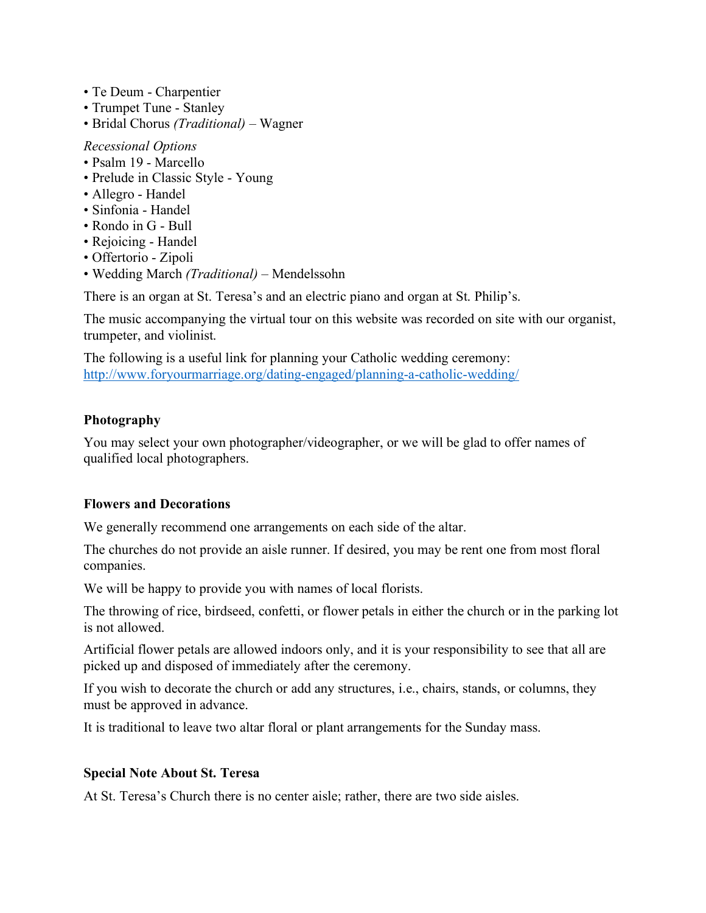- Te Deum Charpentier
- Trumpet Tune Stanley
- Bridal Chorus *(Traditional) –* Wagner

#### *Recessional Options*

- Psalm 19 Marcello
- Prelude in Classic Style Young
- Allegro Handel
- Sinfonia Handel
- Rondo in G Bull
- Rejoicing Handel
- Offertorio Zipoli
- Wedding March *(Traditional) –* Mendelssohn

There is an organ at St. Teresa's and an electric piano and organ at St. Philip's.

The music accompanying the virtual tour on this website was recorded on site with our organist, trumpeter, and violinist.

The following is a useful link for planning your Catholic wedding ceremony: http://www.foryourmarriage.org/dating-engaged/planning-a-catholic-wedding/

# **Photography**

You may select your own photographer/videographer, or we will be glad to offer names of qualified local photographers.

# **Flowers and Decorations**

We generally recommend one arrangements on each side of the altar.

The churches do not provide an aisle runner. If desired, you may be rent one from most floral companies.

We will be happy to provide you with names of local florists.

The throwing of rice, birdseed, confetti, or flower petals in either the church or in the parking lot is not allowed.

Artificial flower petals are allowed indoors only, and it is your responsibility to see that all are picked up and disposed of immediately after the ceremony.

If you wish to decorate the church or add any structures, i.e., chairs, stands, or columns, they must be approved in advance.

It is traditional to leave two altar floral or plant arrangements for the Sunday mass.

### **Special Note About St. Teresa**

At St. Teresa's Church there is no center aisle; rather, there are two side aisles.